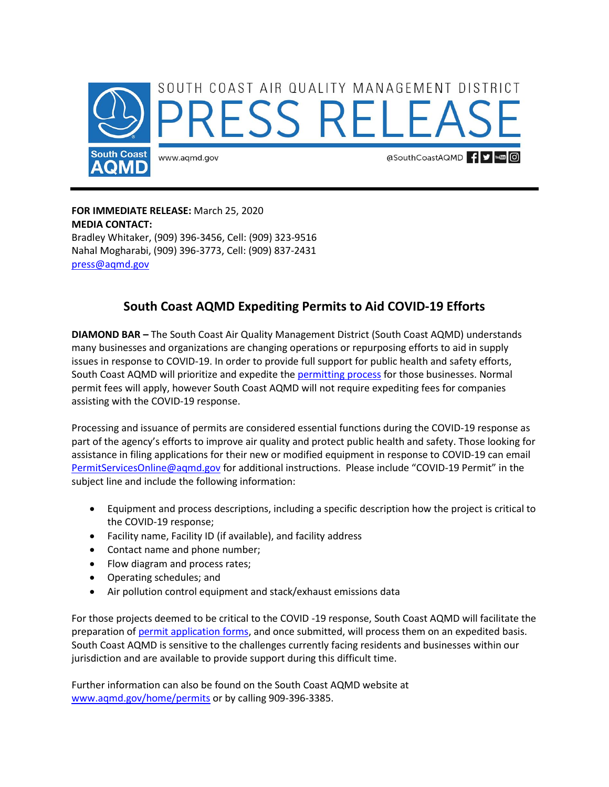

**FOR IMMEDIATE RELEASE:** March 25, 2020 **MEDIA CONTACT:**  Bradley Whitaker, (909) 396-3456, Cell: (909) 323-9516 Nahal Mogharabi, (909) 396-3773, Cell: (909) 837-2431 [press@aqmd.gov](mailto:press@aqmd.gov)

## **South Coast AQMD Expediting Permits to Aid COVID-19 Efforts**

**DIAMOND BAR –** The South Coast Air Quality Management District (South Coast AQMD) understands many businesses and organizations are changing operations or repurposing efforts to aid in supply issues in response to COVID-19. In order to provide full support for public health and safety efforts, South Coast AQMD will prioritize and expedite the [permitting process](http://www.aqmd.gov/docs/default-source/news-archive/2020/permit-applications-march21-2020.pdf) for those businesses. Normal permit fees will apply, however South Coast AQMD will not require expediting fees for companies assisting with the COVID-19 response.

Processing and issuance of permits are considered essential functions during the COVID-19 response as part of the agency's efforts to improve air quality and protect public health and safety. Those looking for assistance in filing applications for their new or modified equipment in response to COVID-19 can email [PermitServicesOnline@aqmd.gov](mailto:PermitServicesOnline@aqmd.gov) for additional instructions. Please include "COVID-19 Permit" in the subject line and include the following information:

- Equipment and process descriptions, including a specific description how the project is critical to the COVID-19 response;
- Facility name, Facility ID (if available), and facility address
- Contact name and phone number;
- Flow diagram and process rates;
- Operating schedules; and
- Air pollution control equipment and stack/exhaust emissions data

For those projects deemed to be critical to the COVID -19 response, South Coast AQMD will facilitate the preparation of [permit application forms,](http://www.aqmd.gov/home/permits/permit-application-forms) and once submitted, will process them on an expedited basis. South Coast AQMD is sensitive to the challenges currently facing residents and businesses within our jurisdiction and are available to provide support during this difficult time.

Further information can also be found on the South Coast AQMD website at [www.aqmd.gov/home/permits](http://www.aqmd.gov/home/permits) or by calling 909-396-3385.